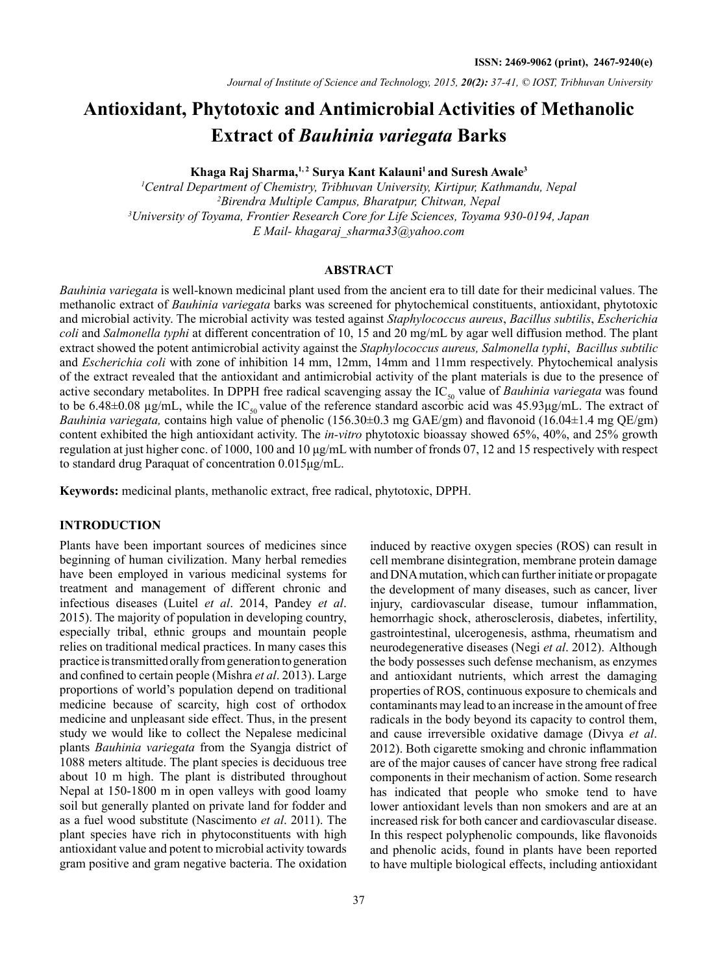# **Antioxidant, Phytotoxic and Antimicrobial Activities of Methanolic Extract of** *Bauhinia variegata* **Barks**

Khaga Raj Sharma,<sup>1,2</sup> Surva Kant Kalauni<sup>1</sup> and Suresh Awale<sup>3</sup>

 *Central Department of Chemistry, Tribhuvan University, Kirtipur, Kathmandu, Nepal Birendra Multiple Campus, Bharatpur, Chitwan, Nepal University of Toyama, Frontier Research Core for Life Sciences, Toyama 930-0194, Japan E Mail- khagaraj\_sharma33@yahoo.com*

# **ABSTRACT**

*Bauhinia variegata* is well-known medicinal plant used from the ancient era to till date for their medicinal values. The methanolic extract of *Bauhinia variegata* barks was screened for phytochemical constituents, antioxidant, phytotoxic and microbial activity. The microbial activity was tested against *Staphylococcus aureus*, *Bacillus subtilis*, *Escherichia coli* and *Salmonella typhi* at different concentration of 10, 15 and 20 mg/mL by agar well diffusion method. The plant extract showed the potent antimicrobial activity against the *Staphylococcus aureus, Salmonella typhi*, *Bacillus subtilic*  and *Escherichia coli* with zone of inhibition 14 mm, 12mm, 14mm and 11mm respectively. Phytochemical analysis of the extract revealed that the antioxidant and antimicrobial activity of the plant materials is due to the presence of active secondary metabolites. In DPPH free radical scavenging assay the IC<sub>50</sub> value of *Bauhinia variegata* was found to be 6.48 $\pm$ 0.08 µg/mL, while the IC<sub>50</sub> value of the reference standard ascorbic acid was 45.93µg/mL. The extract of *Bauhinia variegata,* contains high value of phenolic (156.30±0.3 mg GAE/gm) and flavonoid (16.04±1.4 mg QE/gm) content exhibited the high antioxidant activity. The *in-vitro* phytotoxic bioassay showed 65%, 40%, and 25% growth regulation at just higher conc. of 1000, 100 and 10 μg/mL with number of fronds 07, 12 and 15 respectively with respect to standard drug Paraquat of concentration 0.015μg/mL.

**Keywords:** medicinal plants, methanolic extract, free radical, phytotoxic, DPPH.

## **INTRODUCTION**

Plants have been important sources of medicines since beginning of human civilization. Many herbal remedies have been employed in various medicinal systems for treatment and management of different chronic and infectious diseases (Luitel *et al*. 2014, Pandey *et al*. 2015). The majority of population in developing country, especially tribal, ethnic groups and mountain people relies on traditional medical practices. In many cases this practice is transmitted orally from generation to generation and confined to certain people (Mishra *et al*. 2013). Large proportions of world's population depend on traditional medicine because of scarcity, high cost of orthodox medicine and unpleasant side effect. Thus, in the present study we would like to collect the Nepalese medicinal plants *Bauhinia variegata* from the Syangja district of 1088 meters altitude. The plant species is deciduous tree about 10 m high. The plant is distributed throughout Nepal at 150-1800 m in open valleys with good loamy soil but generally planted on private land for fodder and as a fuel wood substitute (Nascimento *et al*. 2011). The plant species have rich in phytoconstituents with high antioxidant value and potent to microbial activity towards gram positive and gram negative bacteria. The oxidation

cell membrane disintegration, membrane protein damage and DNA mutation, which can further initiate or propagate the development of many diseases, such as cancer, liver injury, cardiovascular disease, tumour inflammation, hemorrhagic shock, atherosclerosis, diabetes, infertility, gastrointestinal, ulcerogenesis, asthma, rheumatism and neurodegenerative diseases (Negi *et al*. 2012). Although the body possesses such defense mechanism, as enzymes and antioxidant nutrients, which arrest the damaging properties of ROS, continuous exposure to chemicals and contaminants may lead to an increase in the amount of free radicals in the body beyond its capacity to control them, and cause irreversible oxidative damage (Divya *et al*. 2012). Both cigarette smoking and chronic inflammation are of the major causes of cancer have strong free radical components in their mechanism of action. Some research has indicated that people who smoke tend to have lower antioxidant levels than non smokers and are at an increased risk for both cancer and cardiovascular disease. In this respect polyphenolic compounds, like flavonoids and phenolic acids, found in plants have been reported to have multiple biological effects, including antioxidant

induced by reactive oxygen species (ROS) can result in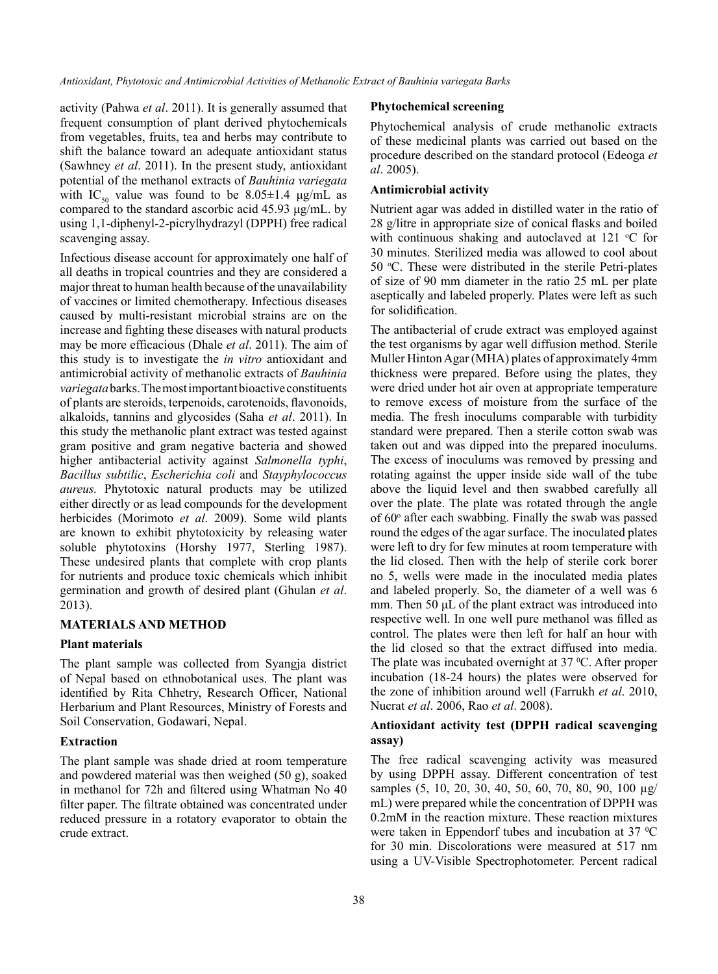activity (Pahwa *et al*. 2011). It is generally assumed that frequent consumption of plant derived phytochemicals from vegetables, fruits, tea and herbs may contribute to shift the balance toward an adequate antioxidant status (Sawhney *et al*. 2011). In the present study, antioxidant potential of the methanol extracts of *Bauhinia variegata* with IC<sub>50</sub> value was found to be 8.05 $\pm$ 1.4 μg/mL as compared to the standard ascorbic acid 45.93 μg/mL. by using 1,1-diphenyl-2-picrylhydrazyl (DPPH) free radical scavenging assay.

Infectious disease account for approximately one half of all deaths in tropical countries and they are considered a major threat to human health because of the unavailability of vaccines or limited chemotherapy. Infectious diseases caused by multi-resistant microbial strains are on the increase and fighting these diseases with natural products may be more efficacious (Dhale *et al*. 2011). The aim of this study is to investigate the *in vitro* antioxidant and antimicrobial activity of methanolic extracts of *Bauhinia variegata* barks. The most important bioactive constituents of plants are steroids, terpenoids, carotenoids, flavonoids, alkaloids, tannins and glycosides (Saha *et al*. 2011). In this study the methanolic plant extract was tested against gram positive and gram negative bacteria and showed higher antibacterial activity against *Salmonella typhi*, *Bacillus subtilic*, *Escherichia coli* and *Stayphylococcus aureus.* Phytotoxic natural products may be utilized either directly or as lead compounds for the development herbicides (Morimoto *et al*. 2009). Some wild plants are known to exhibit phytotoxicity by releasing water soluble phytotoxins (Horshy 1977, Sterling 1987). These undesired plants that complete with crop plants for nutrients and produce toxic chemicals which inhibit germination and growth of desired plant (Ghulan *et al*. 2013).

## **Materials and Method**

#### **Plant materials**

The plant sample was collected from Syangja district of Nepal based on ethnobotanical uses. The plant was identified by Rita Chhetry, Research Officer, National Herbarium and Plant Resources, Ministry of Forests and Soil Conservation, Godawari, Nepal.

#### **Extraction**

The plant sample was shade dried at room temperature and powdered material was then weighed (50 g), soaked in methanol for 72h and filtered using Whatman No 40 filter paper. The filtrate obtained was concentrated under reduced pressure in a rotatory evaporator to obtain the crude extract.

#### **Phytochemical screening**

Phytochemical analysis of crude methanolic extracts of these medicinal plants was carried out based on the procedure described on the standard protocol (Edeoga *et al*. 2005).

## **Antimicrobial activity**

Nutrient agar was added in distilled water in the ratio of 28 g/litre in appropriate size of conical flasks and boiled with continuous shaking and autoclaved at  $121 \text{ °C}$  for 30 minutes. Sterilized media was allowed to cool about 50 °C. These were distributed in the sterile Petri-plates of size of 90 mm diameter in the ratio 25 mL per plate aseptically and labeled properly. Plates were left as such for solidification.

The antibacterial of crude extract was employed against the test organisms by agar well diffusion method. Sterile Muller Hinton Agar (MHA) plates of approximately 4mm thickness were prepared. Before using the plates, they were dried under hot air oven at appropriate temperature to remove excess of moisture from the surface of the media. The fresh inoculums comparable with turbidity standard were prepared. Then a sterile cotton swab was taken out and was dipped into the prepared inoculums. The excess of inoculums was removed by pressing and rotating against the upper inside side wall of the tube above the liquid level and then swabbed carefully all over the plate. The plate was rotated through the angle of 60° after each swabbing. Finally the swab was passed round the edges of the agar surface. The inoculated plates were left to dry for few minutes at room temperature with the lid closed. Then with the help of sterile cork borer no 5, wells were made in the inoculated media plates and labeled properly. So, the diameter of a well was 6 mm. Then 50 μL of the plant extract was introduced into respective well. In one well pure methanol was filled as control. The plates were then left for half an hour with the lid closed so that the extract diffused into media. The plate was incubated overnight at  $37 \degree C$ . After proper incubation (18-24 hours) the plates were observed for the zone of inhibition around well (Farrukh *et al*. 2010, Nucrat *et al*. 2006, Rao *et al*. 2008).

## **Antioxidant activity test (DPPH radical scavenging assay)**

The free radical scavenging activity was measured by using DPPH assay. Different concentration of test samples (5, 10, 20, 30, 40, 50, 60, 70, 80, 90, 100  $\mu$ g/ mL) were prepared while the concentration of DPPH was 0.2mM in the reaction mixture. These reaction mixtures were taken in Eppendorf tubes and incubation at  $37 \,^{\circ}\text{C}$ for 30 min. Discolorations were measured at 517 nm using a UV-Visible Spectrophotometer. Percent radical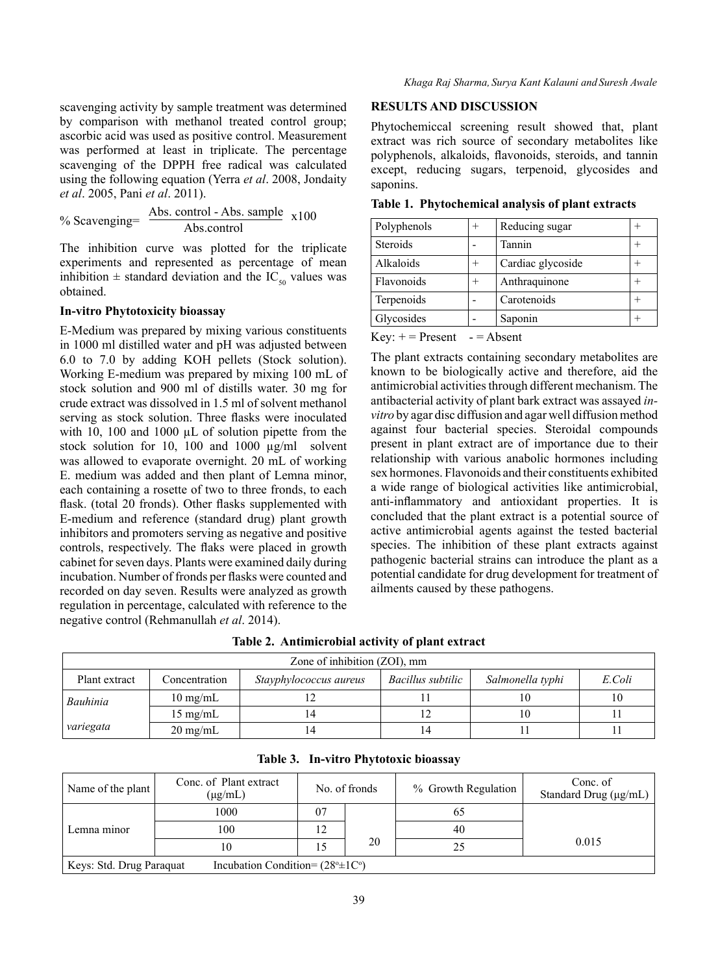*Khaga Raj Sharma, Surya Kant Kalauni and Suresh Awale*

scavenging activity by sample treatment was determined by comparison with methanol treated control group; ascorbic acid was used as positive control. Measurement was performed at least in triplicate. The percentage scavenging of the DPPH free radical was calculated using the following equation (Yerra *et al*. 2008, Jondaity *et al*. 2005, Pani *et al*. 2011).

% Scavenging=
$$
\frac{\text{Abs. control - Abs. sample}}{\text{Abs. control}}
$$
x100

The inhibition curve was plotted for the triplicate experiments and represented as percentage of mean inhibition  $\pm$  standard deviation and the IC<sub>50</sub> values was obtained.

#### **In-vitro Phytotoxicity bioassay**

E-Medium was prepared by mixing various constituents in 1000 ml distilled water and pH was adjusted between 6.0 to 7.0 by adding KOH pellets (Stock solution). Working E-medium was prepared by mixing 100 mL of stock solution and 900 ml of distills water. 30 mg for crude extract was dissolved in 1.5 ml of solvent methanol serving as stock solution. Three flasks were inoculated with 10, 100 and 1000 µL of solution pipette from the stock solution for 10, 100 and 1000 µg/ml solvent was allowed to evaporate overnight. 20 mL of working E. medium was added and then plant of Lemna minor, each containing a rosette of two to three fronds, to each flask. (total 20 fronds). Other flasks supplemented with E-medium and reference (standard drug) plant growth inhibitors and promoters serving as negative and positive controls, respectively. The flaks were placed in growth cabinet for seven days. Plants were examined daily during incubation. Number of fronds per flasks were counted and recorded on day seven. Results were analyzed as growth regulation in percentage, calculated with reference to the negative control (Rehmanullah *et al*. 2014).

#### **RESULTS AND DISCUSSION**

Phytochemiccal screening result showed that, plant extract was rich source of secondary metabolites like polyphenols, alkaloids, flavonoids, steroids, and tannin except, reducing sugars, terpenoid, glycosides and saponins.

| Polyphenols     | $^{+}$ | Reducing sugar    |  |
|-----------------|--------|-------------------|--|
| <b>Steroids</b> |        | Tannin            |  |
| Alkaloids       |        | Cardiac glycoside |  |
| Flavonoids      | $^{+}$ | Anthraquinone     |  |
| Terpenoids      |        | Carotenoids       |  |
| Glycosides      |        | Saponin           |  |

**Table 1. Phytochemical analysis of plant extracts**

 $Key: += Present - = Absent$ 

The plant extracts containing secondary metabolites are known to be biologically active and therefore, aid the antimicrobial activities through different mechanism. The antibacterial activity of plant bark extract was assayed *invitro* by agar disc diffusion and agar well diffusion method against four bacterial species. Steroidal compounds present in plant extract are of importance due to their relationship with various anabolic hormones including sex hormones. Flavonoids and their constituents exhibited a wide range of biological activities like antimicrobial, anti-inflammatory and antioxidant properties. It is concluded that the plant extract is a potential source of active antimicrobial agents against the tested bacterial species. The inhibition of these plant extracts against pathogenic bacterial strains can introduce the plant as a potential candidate for drug development for treatment of ailments caused by these pathogens.

## **Table 2. Antimicrobial activity of plant extract**

| Zone of inhibition (ZOI), mm |                    |                        |                   |                  |        |  |  |  |
|------------------------------|--------------------|------------------------|-------------------|------------------|--------|--|--|--|
| Plant extract                | Concentration      | Stayphylococcus aureus | Bacillus subtilic | Salmonella typhi | E.Coli |  |  |  |
| Bauhinia                     | $10 \text{ mg/mL}$ |                        |                   | 10               | 10     |  |  |  |
| $15 \text{ mg/mL}$           |                    |                        | 10                |                  |        |  |  |  |
| variegata                    | $20 \text{ mg/mL}$ |                        | 14                |                  |        |  |  |  |

| Name of the plant        | Conc. of Plant extract<br>$(\mu$ g/mL)              |    | No. of fronds | % Growth Regulation | Conc. of<br>Standard Drug (µg/mL) |
|--------------------------|-----------------------------------------------------|----|---------------|---------------------|-----------------------------------|
|                          | 1000                                                | 07 |               | 65                  |                                   |
| Lemna minor              | 100                                                 | 12 |               | 40                  |                                   |
|                          | 10                                                  | 15 | 20            | 25                  | 0.015                             |
| Keys: Std. Drug Paraquat | Incubation Condition= $(28^{\circ} \pm 10^{\circ})$ |    |               |                     |                                   |

**Table 3. In-vitro Phytotoxic bioassay**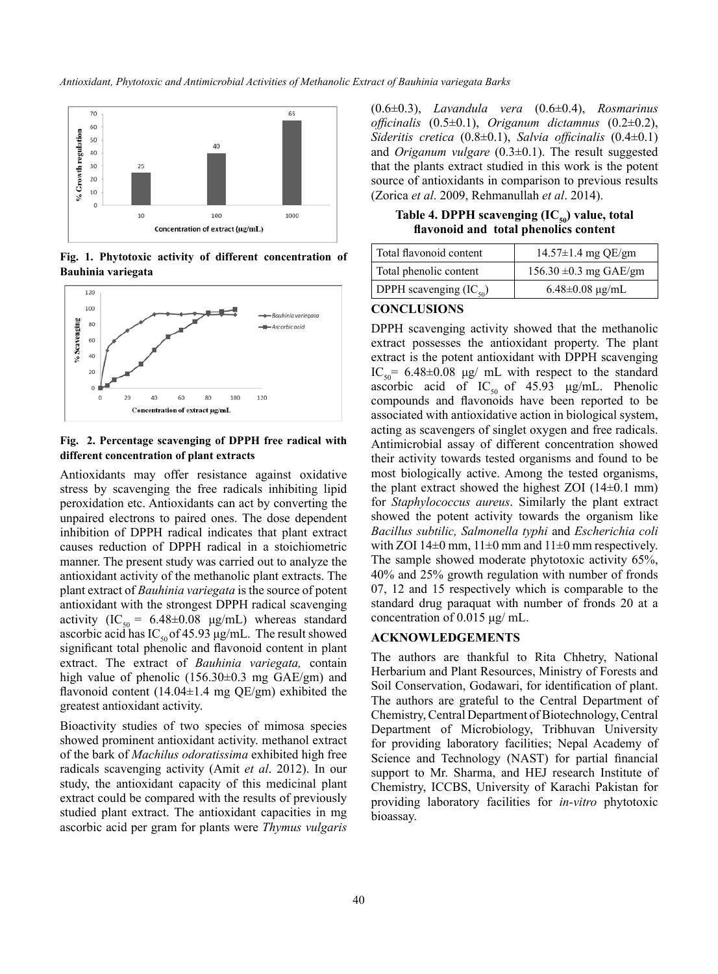*Antioxidant, Phytotoxic and Antimicrobial Activities of Methanolic Extract of Bauhinia variegata Barks*



**Fig. 1. Phytotoxic activity of different concentration of Bauhinia variegata**



#### **Fig. 2. Percentage scavenging of DPPH free radical with different concentration of plant extracts**

Antioxidants may offer resistance against oxidative stress by scavenging the free radicals inhibiting lipid peroxidation etc. Antioxidants can act by converting the unpaired electrons to paired ones. The dose dependent inhibition of DPPH radical indicates that plant extract causes reduction of DPPH radical in a stoichiometric manner. The present study was carried out to analyze the antioxidant activity of the methanolic plant extracts. The plant extract of *Bauhinia variegata* is the source of potent antioxidant with the strongest DPPH radical scavenging activity (IC<sub>50</sub> = 6.48±0.08 µg/mL) whereas standard ascorbic acid has  $IC_{50}$  of 45.93 μg/mL. The result showed significant total phenolic and flavonoid content in plant extract. The extract of *Bauhinia variegata,* contain high value of phenolic (156.30±0.3 mg GAE/gm) and flavonoid content  $(14.04 \pm 1.4 \text{ mg} \text{ QE/gm})$  exhibited the greatest antioxidant activity.

Bioactivity studies of two species of mimosa species showed prominent antioxidant activity. methanol extract of the bark of *Machilus odoratissima* exhibited high free radicals scavenging activity (Amit *et al*. 2012). In our study, the antioxidant capacity of this medicinal plant extract could be compared with the results of previously studied plant extract. The antioxidant capacities in mg ascorbic acid per gram for plants were *Thymus vulgaris*

(0.6±0.3), *Lavandula vera* (0.6±0.4), *Rosmarinus officinalis* (0.5±0.1), *Origanum dictamnus* (0.2±0.2), *Sideritis cretica* (0.8±0.1), *Salvia officinalis* (0.4±0.1) and *Origanum vulgare* (0.3±0.1). The result suggested that the plants extract studied in this work is the potent source of antioxidants in comparison to previous results (Zorica *et al*. 2009, Rehmanullah *et al*. 2014).

Table 4. DPPH scavenging (IC<sub>50</sub>) value, total **flavonoid and total phenolics content**

| Total flavonoid content         | $14.57 \pm 1.4$ mg QE/gm   |
|---------------------------------|----------------------------|
| Total phenolic content          | $156.30 \pm 0.3$ mg GAE/gm |
| DPPH scavenging $(IC_{\rm so})$ | $6.48 \pm 0.08 \mu g/mL$   |

# **CONCLUSIONS**

DPPH scavenging activity showed that the methanolic extract possesses the antioxidant property. The plant extract is the potent antioxidant with DPPH scavenging IC<sub>50</sub> = 6.48 $\pm$ 0.08 μg/ mL with respect to the standard ascorbic acid of  $IC_{50}$  of 45.93 μg/mL. Phenolic compounds and flavonoids have been reported to be associated with antioxidative action in biological system, acting as scavengers of singlet oxygen and free radicals. Antimicrobial assay of different concentration showed their activity towards tested organisms and found to be most biologically active. Among the tested organisms, the plant extract showed the highest ZOI  $(14\pm0.1 \text{ mm})$ for *Staphylococcus aureus*. Similarly the plant extract showed the potent activity towards the organism like *Bacillus subtilic, Salmonella typhi* and *Escherichia coli* with ZOI 14 $\pm$ 0 mm, 11 $\pm$ 0 mm and 11 $\pm$ 0 mm respectively. The sample showed moderate phytotoxic activity 65%, 40% and 25% growth regulation with number of fronds 07, 12 and 15 respectively which is comparable to the standard drug paraquat with number of fronds 20 at a concentration of 0.015 μg/ mL.

# **ACKNOWLEDGEMENTS**

The authors are thankful to Rita Chhetry, National Herbarium and Plant Resources, Ministry of Forests and Soil Conservation, Godawari, for identification of plant. The authors are grateful to the Central Department of Chemistry, Central Department of Biotechnology, Central Department of Microbiology, Tribhuvan University for providing laboratory facilities; Nepal Academy of Science and Technology (NAST) for partial financial support to Mr. Sharma, and HEJ research Institute of Chemistry, ICCBS, University of Karachi Pakistan for providing laboratory facilities for *in-vitro* phytotoxic bioassay.